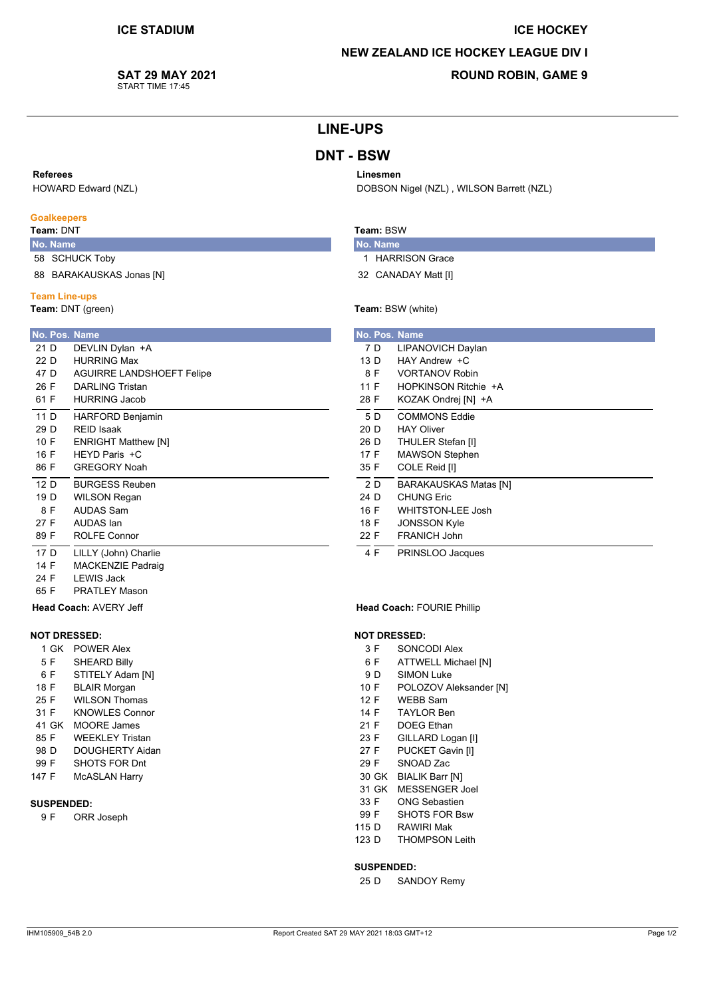# **ICE HOCKEY NEW ZEALAND ICE HOCKEY LEAGUE DIV I**

DOBSON Nigel (NZL), WILSON Barrett (NZL)

# SAT 29 MAY 2021

START TIME 17:45

## **ROUND ROBIN, GAME 9**

### **LINE-UPS**

### **DNT - BSW**

#### Referees

HOWARD Edward (NZL)

#### **Goalkeepers**

Team: DNT

14 F

24 F

65 F

5 F

 $6F$ 

 $18E$ 

25 F

31 F

85 F

98 D 99 F

147 F

 $9F$ 

**SUSPENDED:** 

41 GK

### No. Name 58 SCHUCK Toby

88 BARAKAUSKAS Jonas [N]

#### **Team Line-ups**

Team: DNT (green)

#### No. Pos. Name  $21<sub>n</sub>$ DEVLIN Dylan +A  $22D$ **HURRING Max**  $47D$ AGUIRRE LANDSHOFFT Felipe 26 F **DARLING Tristan** 61 F **HURRING Jacob** HARFORD Benjamin  $\overline{11}$  D 29 D **REID Isaak**  $10 F$ **ENRIGHT Matthew [N]** HEYD Paris +C  $16F$ 86 F **GREGORY Noah**  $\frac{1}{12}$  D **BURGESS Reuben**  $19<sub>D</sub>$ **WILSON Regan** 8 F **AUDAS Sam** 27 F **AUDAS** lan 89 F **ROLFE Connor**  $\frac{1}{17}$  D LILLY (John) Charlie

**MACKENZIE Padraid** 

**LEWIS Jack** 

Head Coach: AVERY Jeff

1 GK POWER Alex

**SHEARD Billy** 

**BLAIR Morgan** 

**MOORE** James

STITELY Adam [N]

**WILSON Thomas** 

**KNOWLES Connor** 

**WEEKLEY Tristan** 

SHOTS FOR Dnt

**McASLAN Harry** 

ORR Joseph

DOUGHERTY Aidan

**NOT DRESSED:** 

**PRATLEY Mason** 

### Team: BSW

Linesmen

No. Name 1 HARRISON Grace

32 CANADAY Matt [I]

#### Team: BSW (white)

|      |     | No. Pos. Name                |
|------|-----|------------------------------|
|      | 7 D | LIPANOVICH Daylan            |
| 13 D |     | HAY Andrew +C                |
|      | 8 F | <b>VORTANOV Robin</b>        |
| 11 F |     | HOPKINSON Ritchie +A         |
| 28 F |     | KOZAK Ondrej [N] +A          |
|      | 5 D | <b>COMMONS Eddie</b>         |
| 20 D |     | <b>HAY Oliver</b>            |
| 26 D |     | THULER Stefan [I]            |
| 17 F |     | <b>MAWSON Stephen</b>        |
| 35 F |     | COLE Reid [I]                |
|      | 2 D | <b>BARAKAUSKAS Matas [N]</b> |
| 24 D |     | <b>CHUNG Eric</b>            |
| 16 F |     | <b>WHITSTON-LEE Josh</b>     |
| 18 F |     | <b>JONSSON Kyle</b>          |
| 22 F |     | <b>FRANICH John</b>          |
|      | 4 F | PRINSLOO Jacques             |

#### **Head Coach: FOURIE Phillip**

#### **NOT DRESSED:**

- $3F$ SONCODI Alex
- 6 F **ATTWELL Michael [N]**
- $9D$ **SIMON Luke**
- $10E$ POLOZOV Aleksander [N]
- WEBB Sam  $12F$
- **TAYLOR Ben** 14 F
- $21 F$ **DOEG** Ethan
- 23 F GILLARD Logan [I]
- $27 F$ **PUCKET Gavin [I]** 29 F SNOAD Zac
- 30 GK BIALIK Barr INT
- 31 GK MESSENGER Joel
- 33 F **ONG Sebastien**
- SHOTS FOR Bsw 99 F
- **RAWIRI Mak**  $115<sub>D</sub>$
- $123<sub>D</sub>$ THOMPSON Leith

#### **SUSPENDED:**

 $25D$ **SANDOY Remy**